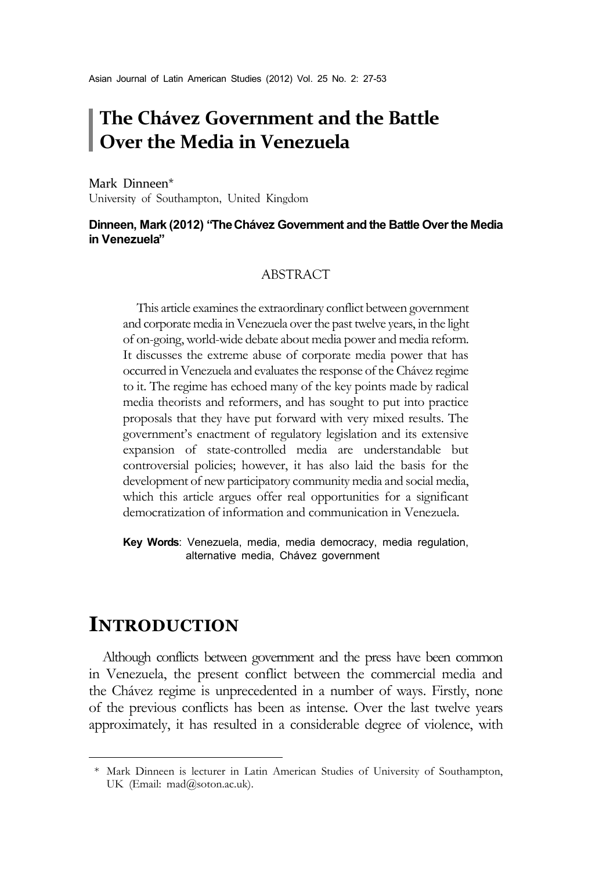# **The Chávez Government and the Battle Over the Media in Venezuela**

Mark Dinneen\*1 University of Southampton, United Kingdom

#### **Dinneen, Mark (2012) "The Chávez Government and the Battle Over the Media in Venezuela"**

#### ABSTRACT

This article examines the extraordinary conflict between government and corporate media in Venezuela over the past twelve years, in the light of on-going, world-wide debate about media power and media reform. It discusses the extreme abuse of corporate media power that has occurred in Venezuela and evaluates the response of the Chávez regime to it. The regime has echoed many of the key points made by radical media theorists and reformers, and has sought to put into practice proposals that they have put forward with very mixed results. The government's enactment of regulatory legislation and its extensive expansion of state-controlled media are understandable but controversial policies; however, it has also laid the basis for the development of new participatory community media and social media, which this article argues offer real opportunities for a significant democratization of information and communication in Venezuela.

**Key Words**: Venezuela, media, media democracy, media regulation, alternative media, Chávez government

## **INTRODUCTION**

Although conflicts between government and the press have been common in Venezuela, the present conflict between the commercial media and the Chávez regime is unprecedented in a number of ways. Firstly, none of the previous conflicts has been as intense. Over the last twelve years approximately, it has resulted in a considerable degree of violence, with

<sup>\*</sup> Mark Dinneen is lecturer in Latin American Studies of University of Southampton, UK (Email: mad@soton.ac.uk).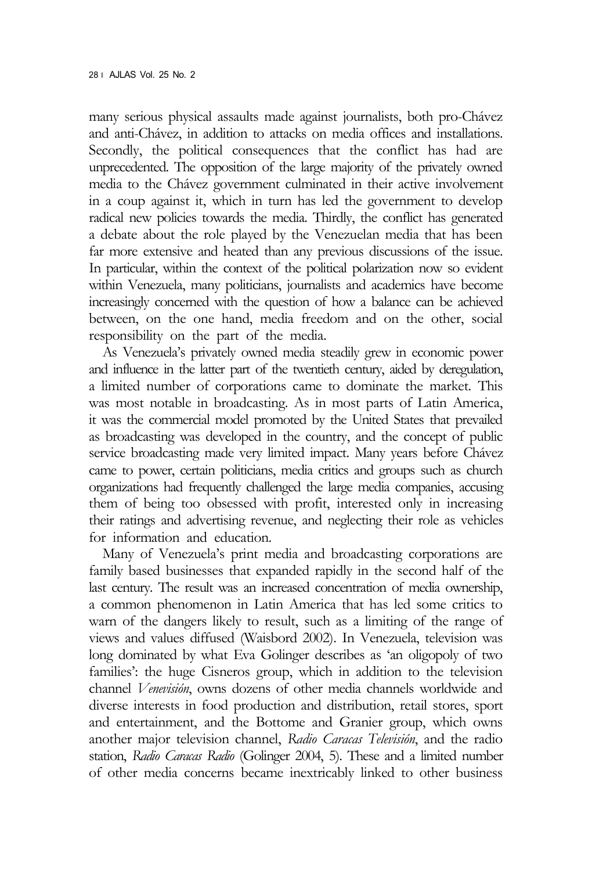many serious physical assaults made against journalists, both pro-Chávez and anti-Chávez, in addition to attacks on media offices and installations. Secondly, the political consequences that the conflict has had are unprecedented. The opposition of the large majority of the privately owned media to the Chávez government culminated in their active involvement in a coup against it, which in turn has led the government to develop radical new policies towards the media. Thirdly, the conflict has generated a debate about the role played by the Venezuelan media that has been far more extensive and heated than any previous discussions of the issue. In particular, within the context of the political polarization now so evident within Venezuela, many politicians, journalists and academics have become increasingly concerned with the question of how a balance can be achieved between, on the one hand, media freedom and on the other, social responsibility on the part of the media.

As Venezuela's privately owned media steadily grew in economic power and influence in the latter part of the twentieth century, aided by deregulation, a limited number of corporations came to dominate the market. This was most notable in broadcasting. As in most parts of Latin America, it was the commercial model promoted by the United States that prevailed as broadcasting was developed in the country, and the concept of public service broadcasting made very limited impact. Many years before Chávez came to power, certain politicians, media critics and groups such as church organizations had frequently challenged the large media companies, accusing them of being too obsessed with profit, interested only in increasing their ratings and advertising revenue, and neglecting their role as vehicles for information and education.

Many of Venezuela's print media and broadcasting corporations are family based businesses that expanded rapidly in the second half of the last century. The result was an increased concentration of media ownership, a common phenomenon in Latin America that has led some critics to warn of the dangers likely to result, such as a limiting of the range of views and values diffused (Waisbord 2002). In Venezuela, television was long dominated by what Eva Golinger describes as 'an oligopoly of two families': the huge Cisneros group, which in addition to the television channel *Venevisión*, owns dozens of other media channels worldwide and diverse interests in food production and distribution, retail stores, sport and entertainment, and the Bottome and Granier group, which owns another major television channel, *Radio Caracas Televisión*, and the radio station, *Radio Caracas Radio* (Golinger 2004, 5). These and a limited number of other media concerns became inextricably linked to other business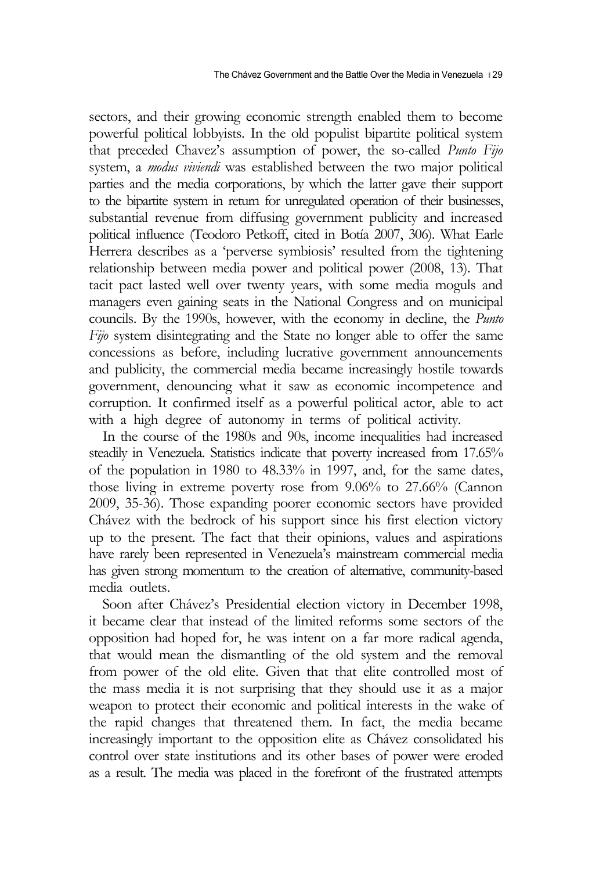sectors, and their growing economic strength enabled them to become powerful political lobbyists. In the old populist bipartite political system that preceded Chavez's assumption of power, the so-called *Punto Fijo* system, a *modus viviendi* was established between the two major political parties and the media corporations, by which the latter gave their support to the bipartite system in return for unregulated operation of their businesses, substantial revenue from diffusing government publicity and increased political influence (Teodoro Petkoff, cited in Botía 2007, 306). What Earle Herrera describes as a 'perverse symbiosis' resulted from the tightening relationship between media power and political power (2008, 13). That tacit pact lasted well over twenty years, with some media moguls and managers even gaining seats in the National Congress and on municipal councils. By the 1990s, however, with the economy in decline, the *Punto Fijo* system disintegrating and the State no longer able to offer the same concessions as before, including lucrative government announcements and publicity, the commercial media became increasingly hostile towards government, denouncing what it saw as economic incompetence and corruption. It confirmed itself as a powerful political actor, able to act with a high degree of autonomy in terms of political activity.

In the course of the 1980s and 90s, income inequalities had increased steadily in Venezuela. Statistics indicate that poverty increased from 17.65% of the population in 1980 to 48.33% in 1997, and, for the same dates, those living in extreme poverty rose from 9.06% to 27.66% (Cannon 2009, 35-36). Those expanding poorer economic sectors have provided Chávez with the bedrock of his support since his first election victory up to the present. The fact that their opinions, values and aspirations have rarely been represented in Venezuela's mainstream commercial media has given strong momentum to the creation of alternative, community-based media outlets.

Soon after Chávez's Presidential election victory in December 1998, it became clear that instead of the limited reforms some sectors of the opposition had hoped for, he was intent on a far more radical agenda, that would mean the dismantling of the old system and the removal from power of the old elite. Given that that elite controlled most of the mass media it is not surprising that they should use it as a major weapon to protect their economic and political interests in the wake of the rapid changes that threatened them. In fact, the media became increasingly important to the opposition elite as Chávez consolidated his control over state institutions and its other bases of power were eroded as a result. The media was placed in the forefront of the frustrated attempts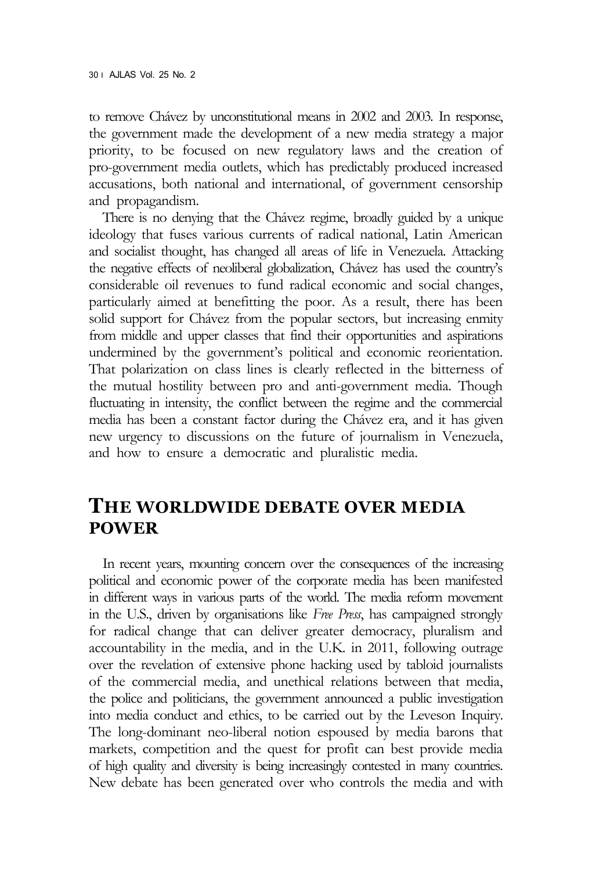to remove Chávez by unconstitutional means in 2002 and 2003. In response, the government made the development of a new media strategy a major priority, to be focused on new regulatory laws and the creation of pro-government media outlets, which has predictably produced increased accusations, both national and international, of government censorship and propagandism.

There is no denying that the Chávez regime, broadly guided by a unique ideology that fuses various currents of radical national, Latin American and socialist thought, has changed all areas of life in Venezuela. Attacking the negative effects of neoliberal globalization, Chávez has used the country's considerable oil revenues to fund radical economic and social changes, particularly aimed at benefitting the poor. As a result, there has been solid support for Chávez from the popular sectors, but increasing enmity from middle and upper classes that find their opportunities and aspirations undermined by the government's political and economic reorientation. That polarization on class lines is clearly reflected in the bitterness of the mutual hostility between pro and anti-government media. Though fluctuating in intensity, the conflict between the regime and the commercial media has been a constant factor during the Chávez era, and it has given new urgency to discussions on the future of journalism in Venezuela, and how to ensure a democratic and pluralistic media.

#### **THE WORLDWIDE DEBATE OVER MEDIA POWER**

In recent years, mounting concern over the consequences of the increasing political and economic power of the corporate media has been manifested in different ways in various parts of the world. The media reform movement in the U.S., driven by organisations like *Free Press*, has campaigned strongly for radical change that can deliver greater democracy, pluralism and accountability in the media, and in the U.K. in 2011, following outrage over the revelation of extensive phone hacking used by tabloid journalists of the commercial media, and unethical relations between that media, the police and politicians, the government announced a public investigation into media conduct and ethics, to be carried out by the Leveson Inquiry. The long-dominant neo-liberal notion espoused by media barons that markets, competition and the quest for profit can best provide media of high quality and diversity is being increasingly contested in many countries. New debate has been generated over who controls the media and with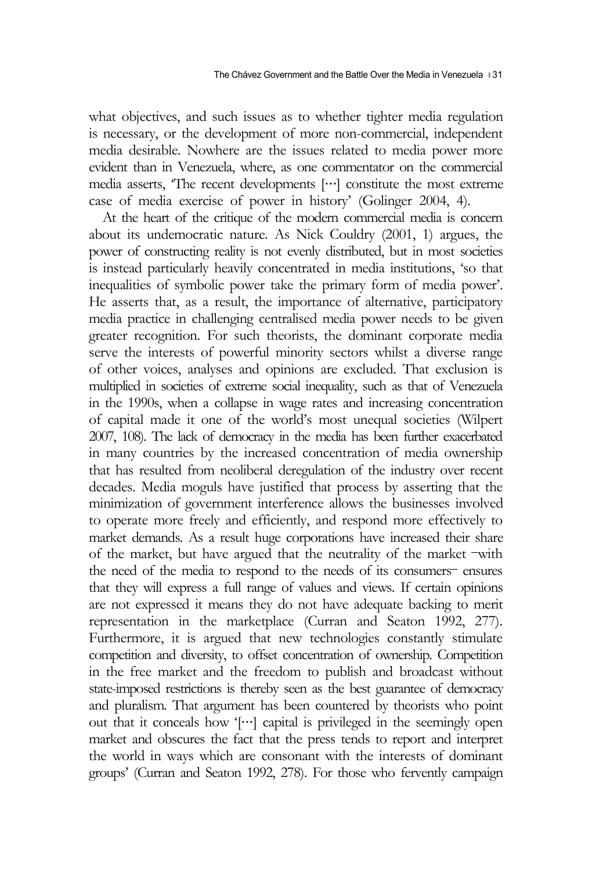what objectives, and such issues as to whether tighter media regulation is necessary, or the development of more non-commercial, independent media desirable. Nowhere are the issues related to media power more evident than in Venezuela, where, as one commentator on the commercial media asserts, 'The recent developments […] constitute the most extreme case of media exercise of power in history' (Golinger 2004, 4).

At the heart of the critique of the modern commercial media is concern about its undemocratic nature. As Nick Couldry (2001, 1) argues, the power of constructing reality is not evenly distributed, but in most societies is instead particularly heavily concentrated in media institutions, 'so that inequalities of symbolic power take the primary form of media power'. He asserts that, as a result, the importance of alternative, participatory media practice in challenging centralised media power needs to be given greater recognition. For such theorists, the dominant corporate media serve the interests of powerful minority sectors whilst a diverse range of other voices, analyses and opinions are excluded. That exclusion is multiplied in societies of extreme social inequality, such as that of Venezuela in the 1990s, when a collapse in wage rates and increasing concentration of capital made it one of the world's most unequal societies (Wilpert 2007, 108). The lack of democracy in the media has been further exacerbated in many countries by the increased concentration of media ownership that has resulted from neoliberal deregulation of the industry over recent decades. Media moguls have justified that process by asserting that the minimization of government interference allows the businesses involved to operate more freely and efficiently, and respond more effectively to market demands. As a result huge corporations have increased their share of the market, but have argued that the neutrality of the market –with the need of the media to respond to the needs of its consumers– ensures that they will express a full range of values and views. If certain opinions are not expressed it means they do not have adequate backing to merit representation in the marketplace (Curran and Seaton 1992, 277). Furthermore, it is argued that new technologies constantly stimulate competition and diversity, to offset concentration of ownership. Competition in the free market and the freedom to publish and broadcast without state-imposed restrictions is thereby seen as the best guarantee of democracy and pluralism. That argument has been countered by theorists who point out that it conceals how '[…] capital is privileged in the seemingly open market and obscures the fact that the press tends to report and interpret the world in ways which are consonant with the interests of dominant groups' (Curran and Seaton 1992, 278). For those who fervently campaign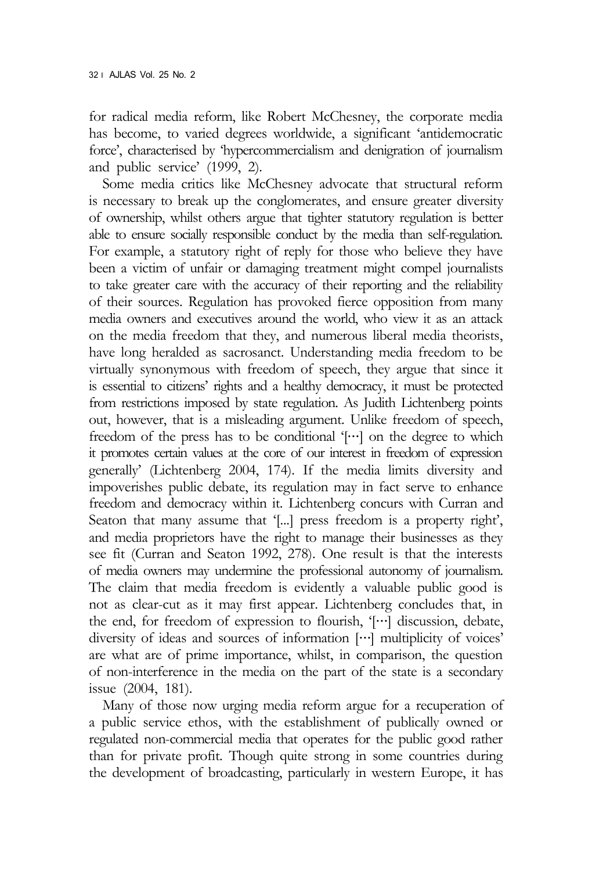for radical media reform, like Robert McChesney, the corporate media has become, to varied degrees worldwide, a significant 'antidemocratic force', characterised by 'hypercommercialism and denigration of journalism and public service' (1999, 2).

Some media critics like McChesney advocate that structural reform is necessary to break up the conglomerates, and ensure greater diversity of ownership, whilst others argue that tighter statutory regulation is better able to ensure socially responsible conduct by the media than self-regulation. For example, a statutory right of reply for those who believe they have been a victim of unfair or damaging treatment might compel journalists to take greater care with the accuracy of their reporting and the reliability of their sources. Regulation has provoked fierce opposition from many media owners and executives around the world, who view it as an attack on the media freedom that they, and numerous liberal media theorists, have long heralded as sacrosanct. Understanding media freedom to be virtually synonymous with freedom of speech, they argue that since it is essential to citizens' rights and a healthy democracy, it must be protected from restrictions imposed by state regulation. As Judith Lichtenberg points out, however, that is a misleading argument. Unlike freedom of speech, freedom of the press has to be conditional '[…] on the degree to which it promotes certain values at the core of our interest in freedom of expression generally' (Lichtenberg 2004, 174). If the media limits diversity and impoverishes public debate, its regulation may in fact serve to enhance freedom and democracy within it. Lichtenberg concurs with Curran and Seaton that many assume that '[...] press freedom is a property right', and media proprietors have the right to manage their businesses as they see fit (Curran and Seaton 1992, 278). One result is that the interests of media owners may undermine the professional autonomy of journalism. The claim that media freedom is evidently a valuable public good is not as clear-cut as it may first appear. Lichtenberg concludes that, in the end, for freedom of expression to flourish, '[…] discussion, debate, diversity of ideas and sources of information […] multiplicity of voices' are what are of prime importance, whilst, in comparison, the question of non-interference in the media on the part of the state is a secondary issue (2004, 181).

Many of those now urging media reform argue for a recuperation of a public service ethos, with the establishment of publically owned or regulated non-commercial media that operates for the public good rather than for private profit. Though quite strong in some countries during the development of broadcasting, particularly in western Europe, it has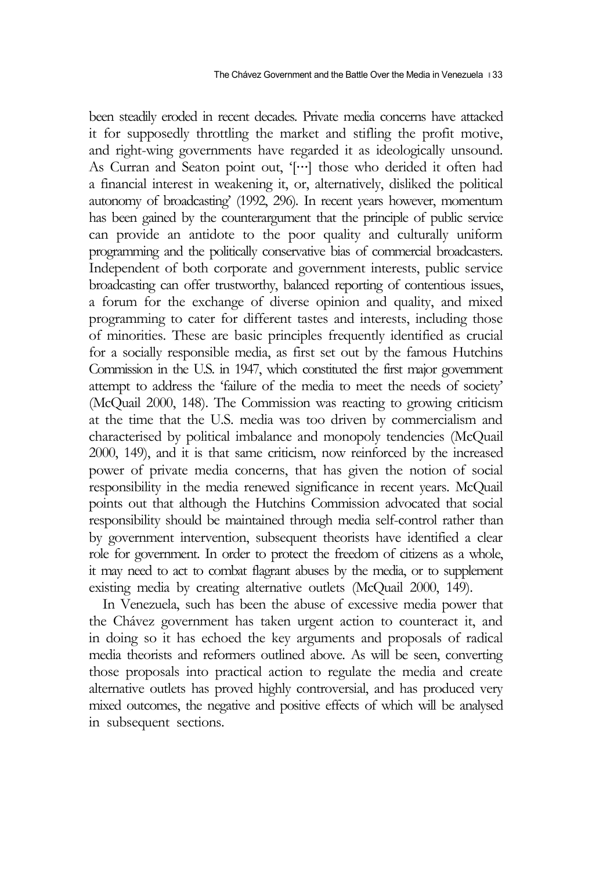been steadily eroded in recent decades. Private media concerns have attacked it for supposedly throttling the market and stifling the profit motive, and right-wing governments have regarded it as ideologically unsound. As Curran and Seaton point out, '[…] those who derided it often had a financial interest in weakening it, or, alternatively, disliked the political autonomy of broadcasting' (1992, 296). In recent years however, momentum has been gained by the counterargument that the principle of public service can provide an antidote to the poor quality and culturally uniform programming and the politically conservative bias of commercial broadcasters. Independent of both corporate and government interests, public service broadcasting can offer trustworthy, balanced reporting of contentious issues, a forum for the exchange of diverse opinion and quality, and mixed programming to cater for different tastes and interests, including those of minorities. These are basic principles frequently identified as crucial for a socially responsible media, as first set out by the famous Hutchins Commission in the U.S. in 1947, which constituted the first major government attempt to address the 'failure of the media to meet the needs of society' (McQuail 2000, 148). The Commission was reacting to growing criticism at the time that the U.S. media was too driven by commercialism and characterised by political imbalance and monopoly tendencies (McQuail 2000, 149), and it is that same criticism, now reinforced by the increased power of private media concerns, that has given the notion of social responsibility in the media renewed significance in recent years. McQuail points out that although the Hutchins Commission advocated that social responsibility should be maintained through media self-control rather than by government intervention, subsequent theorists have identified a clear role for government. In order to protect the freedom of citizens as a whole, it may need to act to combat flagrant abuses by the media, or to supplement existing media by creating alternative outlets (McQuail 2000, 149).

In Venezuela, such has been the abuse of excessive media power that the Chávez government has taken urgent action to counteract it, and in doing so it has echoed the key arguments and proposals of radical media theorists and reformers outlined above. As will be seen, converting those proposals into practical action to regulate the media and create alternative outlets has proved highly controversial, and has produced very mixed outcomes, the negative and positive effects of which will be analysed in subsequent sections.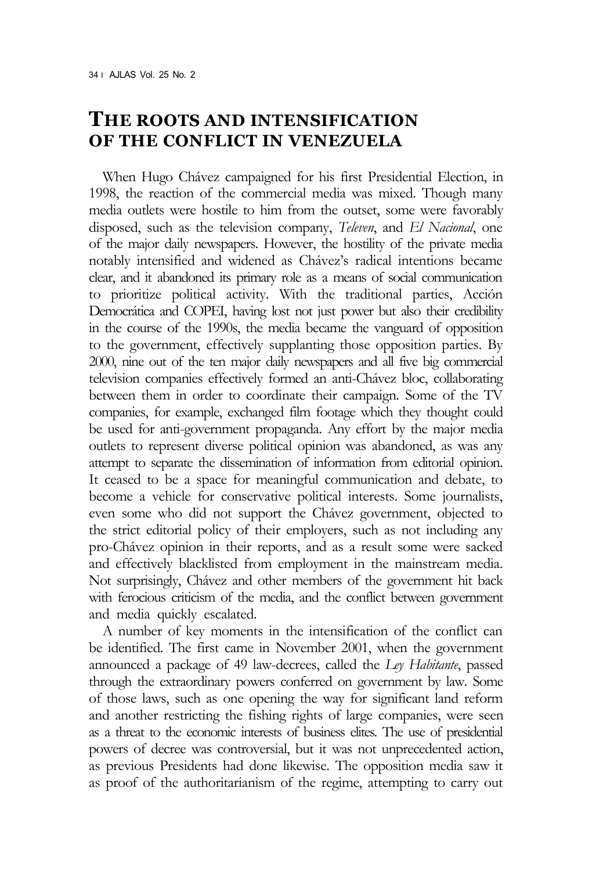#### **THE ROOTS AND INTENSIFICATION OF THE CONFLICT IN VENEZUELA**

When Hugo Chávez campaigned for his first Presidential Election, in 1998, the reaction of the commercial media was mixed. Though many media outlets were hostile to him from the outset, some were favorably disposed, such as the television company, *Televen*, and *El Nacional*, one of the major daily newspapers. However, the hostility of the private media notably intensified and widened as Chávez's radical intentions became clear, and it abandoned its primary role as a means of social communication to prioritize political activity. With the traditional parties, Acción Democrática and COPEI, having lost not just power but also their credibility in the course of the 1990s, the media became the vanguard of opposition to the government, effectively supplanting those opposition parties. By 2000, nine out of the ten major daily newspapers and all five big commercial television companies effectively formed an anti-Chávez bloc, collaborating between them in order to coordinate their campaign. Some of the TV companies, for example, exchanged film footage which they thought could be used for anti-government propaganda. Any effort by the major media outlets to represent diverse political opinion was abandoned, as was any attempt to separate the dissemination of information from editorial opinion. It ceased to be a space for meaningful communication and debate, to become a vehicle for conservative political interests. Some journalists, even some who did not support the Chávez government, objected to the strict editorial policy of their employers, such as not including any pro-Chávez opinion in their reports, and as a result some were sacked and effectively blacklisted from employment in the mainstream media. Not surprisingly, Chávez and other members of the government hit back with ferocious criticism of the media, and the conflict between government and media quickly escalated.

A number of key moments in the intensification of the conflict can be identified. The first came in November 2001, when the government announced a package of 49 law-decrees, called the *Ley Habitante*, passed through the extraordinary powers conferred on government by law. Some of those laws, such as one opening the way for significant land reform and another restricting the fishing rights of large companies, were seen as a threat to the economic interests of business elites. The use of presidential powers of decree was controversial, but it was not unprecedented action, as previous Presidents had done likewise. The opposition media saw it as proof of the authoritarianism of the regime, attempting to carry out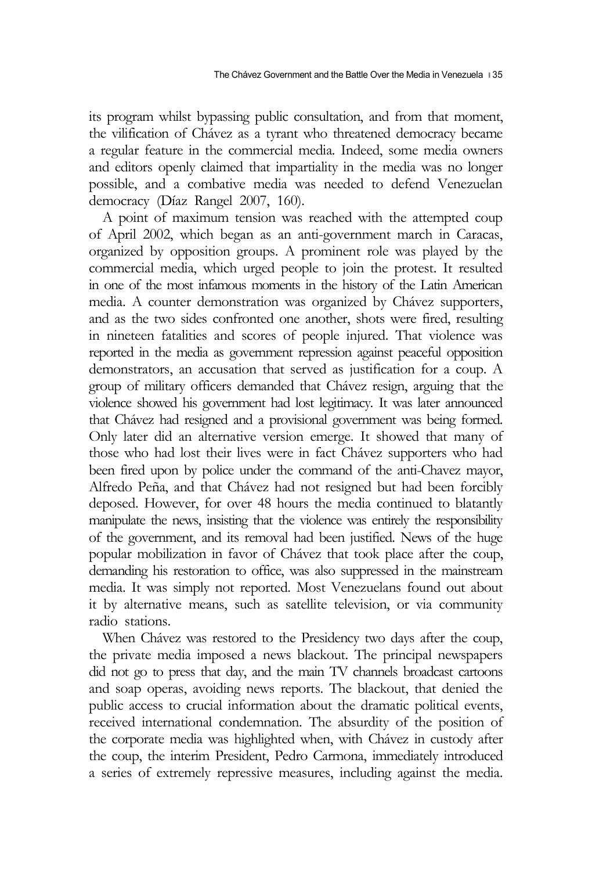its program whilst bypassing public consultation, and from that moment, the vilification of Chávez as a tyrant who threatened democracy became a regular feature in the commercial media. Indeed, some media owners and editors openly claimed that impartiality in the media was no longer possible, and a combative media was needed to defend Venezuelan democracy (Díaz Rangel 2007, 160).

A point of maximum tension was reached with the attempted coup of April 2002, which began as an anti-government march in Caracas, organized by opposition groups. A prominent role was played by the commercial media, which urged people to join the protest. It resulted in one of the most infamous moments in the history of the Latin American media. A counter demonstration was organized by Chávez supporters, and as the two sides confronted one another, shots were fired, resulting in nineteen fatalities and scores of people injured. That violence was reported in the media as government repression against peaceful opposition demonstrators, an accusation that served as justification for a coup. A group of military officers demanded that Chávez resign, arguing that the violence showed his government had lost legitimacy. It was later announced that Chávez had resigned and a provisional government was being formed. Only later did an alternative version emerge. It showed that many of those who had lost their lives were in fact Chávez supporters who had been fired upon by police under the command of the anti-Chavez mayor, Alfredo Peña, and that Chávez had not resigned but had been forcibly deposed. However, for over 48 hours the media continued to blatantly manipulate the news, insisting that the violence was entirely the responsibility of the government, and its removal had been justified. News of the huge popular mobilization in favor of Chávez that took place after the coup, demanding his restoration to office, was also suppressed in the mainstream media. It was simply not reported. Most Venezuelans found out about it by alternative means, such as satellite television, or via community radio stations.

When Chávez was restored to the Presidency two days after the coup, the private media imposed a news blackout. The principal newspapers did not go to press that day, and the main TV channels broadcast cartoons and soap operas, avoiding news reports. The blackout, that denied the public access to crucial information about the dramatic political events, received international condemnation. The absurdity of the position of the corporate media was highlighted when, with Chávez in custody after the coup, the interim President, Pedro Carmona, immediately introduced a series of extremely repressive measures, including against the media.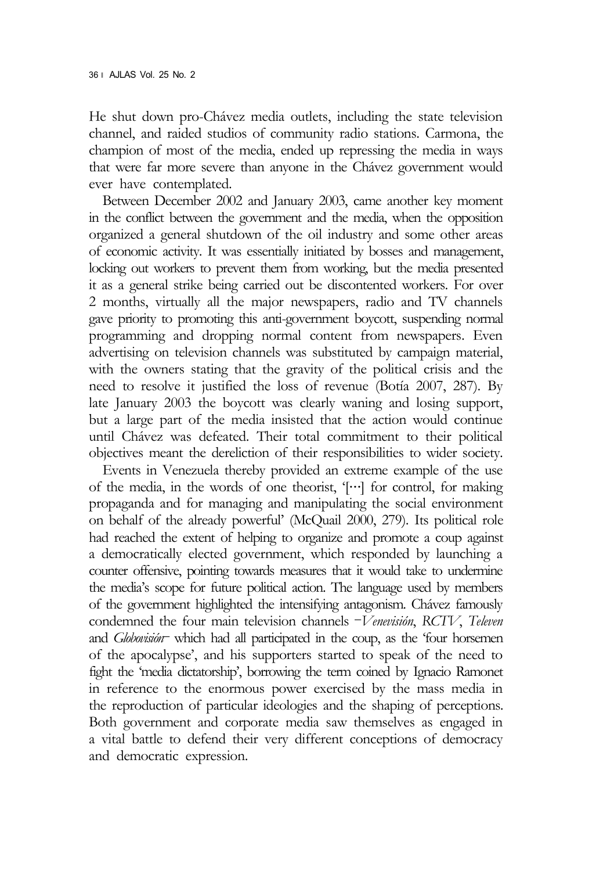He shut down pro-Chávez media outlets, including the state television channel, and raided studios of community radio stations. Carmona, the champion of most of the media, ended up repressing the media in ways that were far more severe than anyone in the Chávez government would ever have contemplated.

Between December 2002 and January 2003, came another key moment in the conflict between the government and the media, when the opposition organized a general shutdown of the oil industry and some other areas of economic activity. It was essentially initiated by bosses and management, locking out workers to prevent them from working, but the media presented it as a general strike being carried out be discontented workers. For over 2 months, virtually all the major newspapers, radio and TV channels gave priority to promoting this anti-government boycott, suspending normal programming and dropping normal content from newspapers. Even advertising on television channels was substituted by campaign material, with the owners stating that the gravity of the political crisis and the need to resolve it justified the loss of revenue (Botía 2007, 287). By late January 2003 the boycott was clearly waning and losing support, but a large part of the media insisted that the action would continue until Chávez was defeated. Their total commitment to their political objectives meant the dereliction of their responsibilities to wider society.

Events in Venezuela thereby provided an extreme example of the use of the media, in the words of one theorist, '[…] for control, for making propaganda and for managing and manipulating the social environment on behalf of the already powerful' (McQuail 2000, 279). Its political role had reached the extent of helping to organize and promote a coup against a democratically elected government, which responded by launching a counter offensive, pointing towards measures that it would take to undermine the media's scope for future political action. The language used by members of the government highlighted the intensifying antagonism. Chávez famously condemned the four main television channels –*Venevisión*, *RCTV*, *Televen* and *Globovisión*– which had all participated in the coup, as the 'four horsemen of the apocalypse', and his supporters started to speak of the need to fight the 'media dictatorship', borrowing the term coined by Ignacio Ramonet in reference to the enormous power exercised by the mass media in the reproduction of particular ideologies and the shaping of perceptions. Both government and corporate media saw themselves as engaged in a vital battle to defend their very different conceptions of democracy and democratic expression.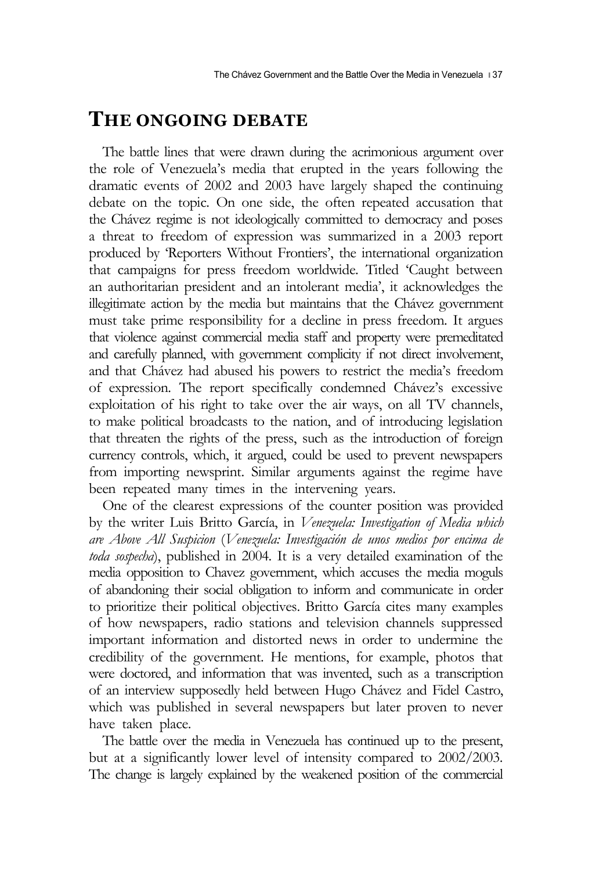## **THE ONGOING DEBATE**

The battle lines that were drawn during the acrimonious argument over the role of Venezuela's media that erupted in the years following the dramatic events of 2002 and 2003 have largely shaped the continuing debate on the topic. On one side, the often repeated accusation that the Chávez regime is not ideologically committed to democracy and poses a threat to freedom of expression was summarized in a 2003 report produced by 'Reporters Without Frontiers', the international organization that campaigns for press freedom worldwide. Titled 'Caught between an authoritarian president and an intolerant media', it acknowledges the illegitimate action by the media but maintains that the Chávez government must take prime responsibility for a decline in press freedom. It argues that violence against commercial media staff and property were premeditated and carefully planned, with government complicity if not direct involvement, and that Chávez had abused his powers to restrict the media's freedom of expression. The report specifically condemned Chávez's excessive exploitation of his right to take over the air ways, on all TV channels, to make political broadcasts to the nation, and of introducing legislation that threaten the rights of the press, such as the introduction of foreign currency controls, which, it argued, could be used to prevent newspapers from importing newsprint. Similar arguments against the regime have been repeated many times in the intervening years.

One of the clearest expressions of the counter position was provided by the writer Luis Britto García, in *Venezuela: Investigation of Media which are Above All Suspicion* (*Venezuela: Investigación de unos medios por encima de toda sospecha*), published in 2004. It is a very detailed examination of the media opposition to Chavez government, which accuses the media moguls of abandoning their social obligation to inform and communicate in order to prioritize their political objectives. Britto García cites many examples of how newspapers, radio stations and television channels suppressed important information and distorted news in order to undermine the credibility of the government. He mentions, for example, photos that were doctored, and information that was invented, such as a transcription of an interview supposedly held between Hugo Chávez and Fidel Castro, which was published in several newspapers but later proven to never have taken place.

The battle over the media in Venezuela has continued up to the present, but at a significantly lower level of intensity compared to 2002/2003. The change is largely explained by the weakened position of the commercial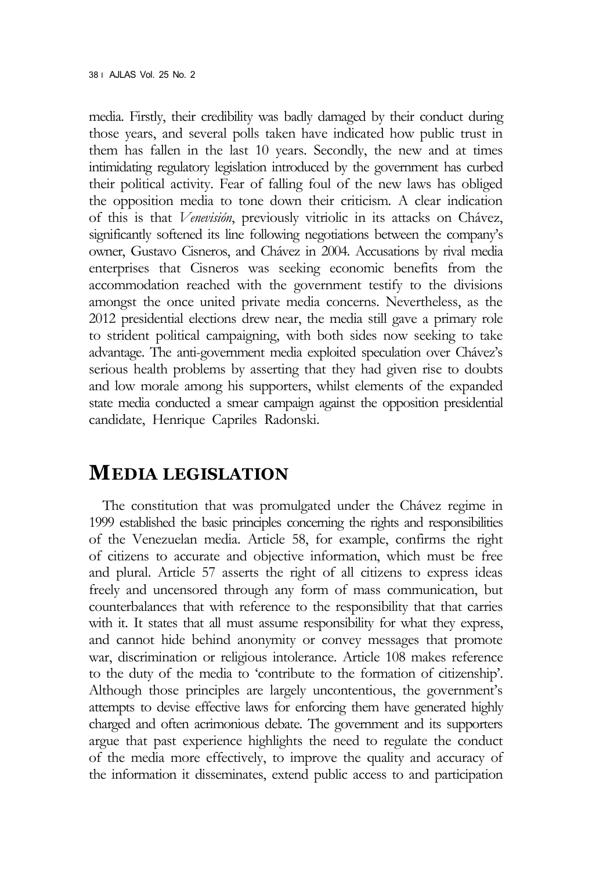media. Firstly, their credibility was badly damaged by their conduct during those years, and several polls taken have indicated how public trust in them has fallen in the last 10 years. Secondly, the new and at times intimidating regulatory legislation introduced by the government has curbed their political activity. Fear of falling foul of the new laws has obliged the opposition media to tone down their criticism. A clear indication of this is that *Venevisión*, previously vitriolic in its attacks on Chávez, significantly softened its line following negotiations between the company's owner, Gustavo Cisneros, and Chávez in 2004. Accusations by rival media enterprises that Cisneros was seeking economic benefits from the accommodation reached with the government testify to the divisions amongst the once united private media concerns. Nevertheless, as the 2012 presidential elections drew near, the media still gave a primary role to strident political campaigning, with both sides now seeking to take advantage. The anti-government media exploited speculation over Chávez's serious health problems by asserting that they had given rise to doubts and low morale among his supporters, whilst elements of the expanded state media conducted a smear campaign against the opposition presidential candidate, Henrique Capriles Radonski.

## **MEDIA LEGISLATION**

The constitution that was promulgated under the Chávez regime in 1999 established the basic principles concerning the rights and responsibilities of the Venezuelan media. Article 58, for example, confirms the right of citizens to accurate and objective information, which must be free and plural. Article 57 asserts the right of all citizens to express ideas freely and uncensored through any form of mass communication, but counterbalances that with reference to the responsibility that that carries with it. It states that all must assume responsibility for what they express, and cannot hide behind anonymity or convey messages that promote war, discrimination or religious intolerance. Article 108 makes reference to the duty of the media to 'contribute to the formation of citizenship'. Although those principles are largely uncontentious, the government's attempts to devise effective laws for enforcing them have generated highly charged and often acrimonious debate. The government and its supporters argue that past experience highlights the need to regulate the conduct of the media more effectively, to improve the quality and accuracy of the information it disseminates, extend public access to and participation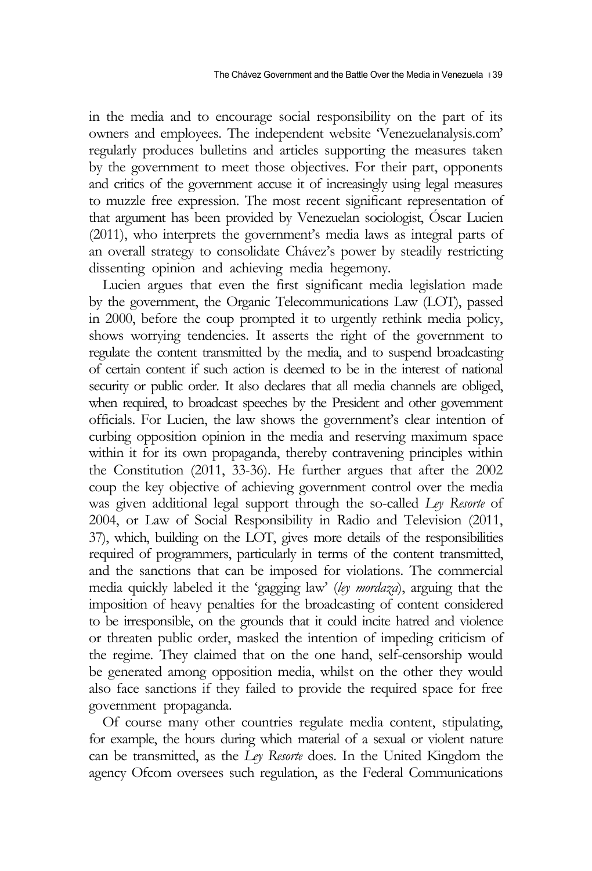in the media and to encourage social responsibility on the part of its owners and employees. The independent website 'Venezuelanalysis.com' regularly produces bulletins and articles supporting the measures taken by the government to meet those objectives. For their part, opponents and critics of the government accuse it of increasingly using legal measures to muzzle free expression. The most recent significant representation of that argument has been provided by Venezuelan sociologist, Óscar Lucien (2011), who interprets the government's media laws as integral parts of an overall strategy to consolidate Chávez's power by steadily restricting dissenting opinion and achieving media hegemony.

Lucien argues that even the first significant media legislation made by the government, the Organic Telecommunications Law (LOT), passed in 2000, before the coup prompted it to urgently rethink media policy, shows worrying tendencies. It asserts the right of the government to regulate the content transmitted by the media, and to suspend broadcasting of certain content if such action is deemed to be in the interest of national security or public order. It also declares that all media channels are obliged, when required, to broadcast speeches by the President and other government officials. For Lucien, the law shows the government's clear intention of curbing opposition opinion in the media and reserving maximum space within it for its own propaganda, thereby contravening principles within the Constitution (2011, 33-36). He further argues that after the 2002 coup the key objective of achieving government control over the media was given additional legal support through the so-called *Ley Resorte* of 2004, or Law of Social Responsibility in Radio and Television (2011, 37), which, building on the LOT, gives more details of the responsibilities required of programmers, particularly in terms of the content transmitted, and the sanctions that can be imposed for violations. The commercial media quickly labeled it the 'gagging law' (*ley mordaza*), arguing that the imposition of heavy penalties for the broadcasting of content considered to be irresponsible, on the grounds that it could incite hatred and violence or threaten public order, masked the intention of impeding criticism of the regime. They claimed that on the one hand, self-censorship would be generated among opposition media, whilst on the other they would also face sanctions if they failed to provide the required space for free government propaganda.

Of course many other countries regulate media content, stipulating, for example, the hours during which material of a sexual or violent nature can be transmitted, as the *Ley Resorte* does. In the United Kingdom the agency Ofcom oversees such regulation, as the Federal Communications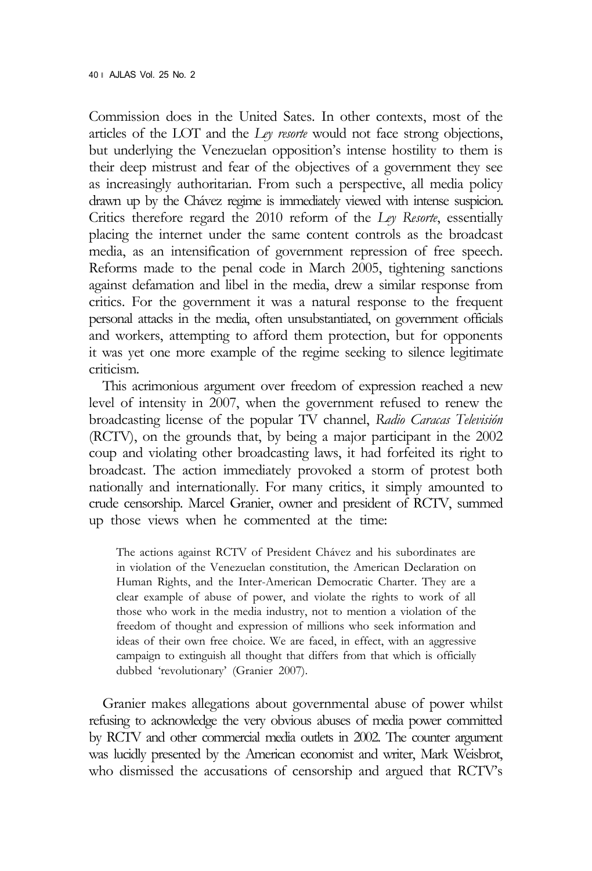Commission does in the United Sates. In other contexts, most of the articles of the LOT and the *Ley resorte* would not face strong objections, but underlying the Venezuelan opposition's intense hostility to them is their deep mistrust and fear of the objectives of a government they see as increasingly authoritarian. From such a perspective, all media policy drawn up by the Chávez regime is immediately viewed with intense suspicion. Critics therefore regard the 2010 reform of the *Ley Resorte*, essentially placing the internet under the same content controls as the broadcast media, as an intensification of government repression of free speech. Reforms made to the penal code in March 2005, tightening sanctions against defamation and libel in the media, drew a similar response from critics. For the government it was a natural response to the frequent personal attacks in the media, often unsubstantiated, on government officials and workers, attempting to afford them protection, but for opponents it was yet one more example of the regime seeking to silence legitimate criticism.

This acrimonious argument over freedom of expression reached a new level of intensity in 2007, when the government refused to renew the broadcasting license of the popular TV channel, *Radio Caracas Televisión* (RCTV), on the grounds that, by being a major participant in the 2002 coup and violating other broadcasting laws, it had forfeited its right to broadcast. The action immediately provoked a storm of protest both nationally and internationally. For many critics, it simply amounted to crude censorship. Marcel Granier, owner and president of RCTV, summed up those views when he commented at the time:

The actions against RCTV of President Chávez and his subordinates are in violation of the Venezuelan constitution, the American Declaration on Human Rights, and the Inter-American Democratic Charter. They are a clear example of abuse of power, and violate the rights to work of all those who work in the media industry, not to mention a violation of the freedom of thought and expression of millions who seek information and ideas of their own free choice. We are faced, in effect, with an aggressive campaign to extinguish all thought that differs from that which is officially dubbed 'revolutionary' (Granier 2007).

Granier makes allegations about governmental abuse of power whilst refusing to acknowledge the very obvious abuses of media power committed by RCTV and other commercial media outlets in 2002. The counter argument was lucidly presented by the American economist and writer, Mark Weisbrot, who dismissed the accusations of censorship and argued that RCTV's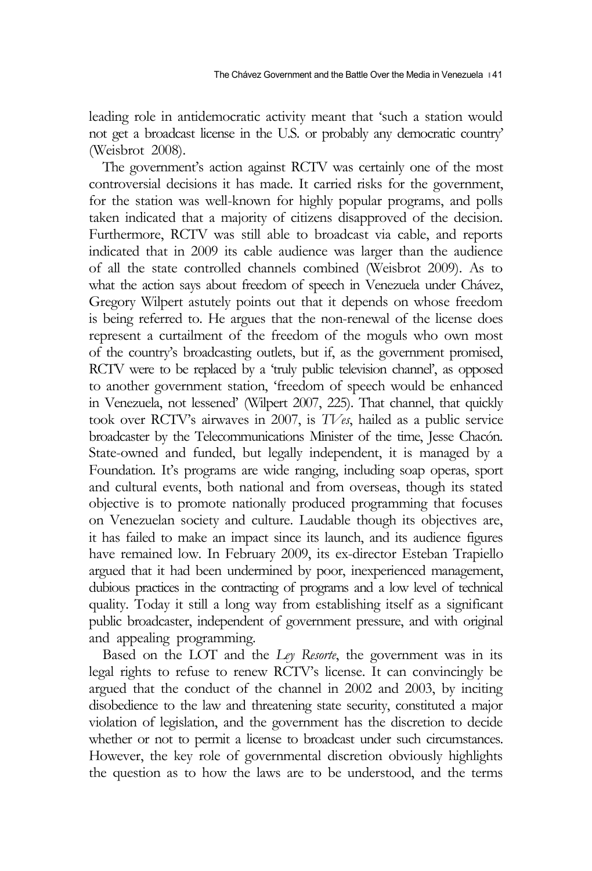leading role in antidemocratic activity meant that 'such a station would not get a broadcast license in the U.S. or probably any democratic country' (Weisbrot 2008).

The government's action against RCTV was certainly one of the most controversial decisions it has made. It carried risks for the government, for the station was well-known for highly popular programs, and polls taken indicated that a majority of citizens disapproved of the decision. Furthermore, RCTV was still able to broadcast via cable, and reports indicated that in 2009 its cable audience was larger than the audience of all the state controlled channels combined (Weisbrot 2009). As to what the action says about freedom of speech in Venezuela under Chávez, Gregory Wilpert astutely points out that it depends on whose freedom is being referred to. He argues that the non-renewal of the license does represent a curtailment of the freedom of the moguls who own most of the country's broadcasting outlets, but if, as the government promised, RCTV were to be replaced by a 'truly public television channel', as opposed to another government station, 'freedom of speech would be enhanced in Venezuela, not lessened' (Wilpert 2007, 225). That channel, that quickly took over RCTV's airwaves in 2007, is *TVes*, hailed as a public service broadcaster by the Telecommunications Minister of the time, Jesse Chacón. State-owned and funded, but legally independent, it is managed by a Foundation. It's programs are wide ranging, including soap operas, sport and cultural events, both national and from overseas, though its stated objective is to promote nationally produced programming that focuses on Venezuelan society and culture. Laudable though its objectives are, it has failed to make an impact since its launch, and its audience figures have remained low. In February 2009, its ex-director Esteban Trapiello argued that it had been undermined by poor, inexperienced management, dubious practices in the contracting of programs and a low level of technical quality. Today it still a long way from establishing itself as a significant public broadcaster, independent of government pressure, and with original and appealing programming.

Based on the LOT and the *Ley Resorte*, the government was in its legal rights to refuse to renew RCTV's license. It can convincingly be argued that the conduct of the channel in 2002 and 2003, by inciting disobedience to the law and threatening state security, constituted a major violation of legislation, and the government has the discretion to decide whether or not to permit a license to broadcast under such circumstances. However, the key role of governmental discretion obviously highlights the question as to how the laws are to be understood, and the terms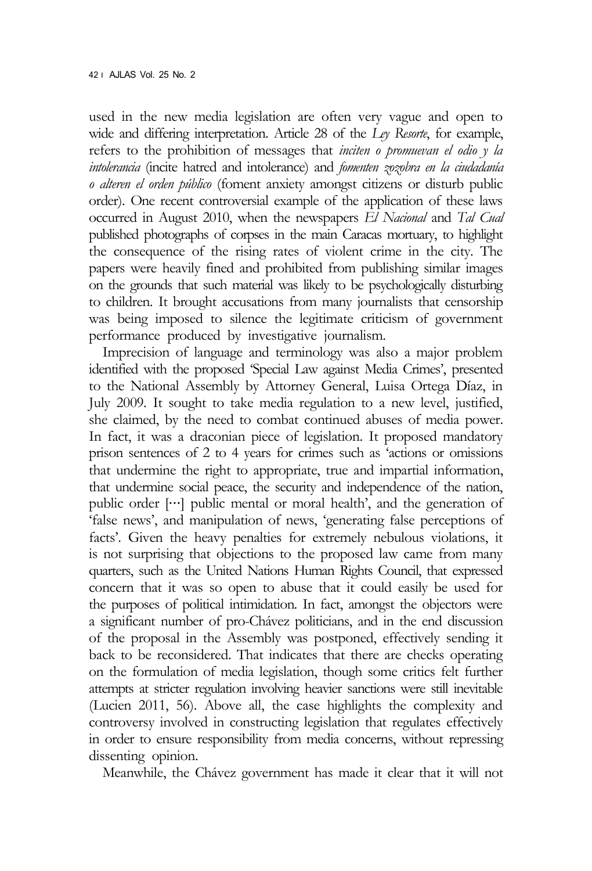used in the new media legislation are often very vague and open to wide and differing interpretation. Article 28 of the *Ley Resorte*, for example, refers to the prohibition of messages that *inciten o promuevan el odio y la intolerancia* (incite hatred and intolerance) and *fomenten zozobra en la ciudadanía o alteren el orden público* (foment anxiety amongst citizens or disturb public order). One recent controversial example of the application of these laws occurred in August 2010, when the newspapers *El Nacional* and *Tal Cual*  published photographs of corpses in the main Caracas mortuary, to highlight the consequence of the rising rates of violent crime in the city. The papers were heavily fined and prohibited from publishing similar images on the grounds that such material was likely to be psychologically disturbing to children. It brought accusations from many journalists that censorship was being imposed to silence the legitimate criticism of government performance produced by investigative journalism.

Imprecision of language and terminology was also a major problem identified with the proposed 'Special Law against Media Crimes', presented to the National Assembly by Attorney General, Luisa Ortega Díaz, in July 2009. It sought to take media regulation to a new level, justified, she claimed, by the need to combat continued abuses of media power. In fact, it was a draconian piece of legislation. It proposed mandatory prison sentences of 2 to 4 years for crimes such as 'actions or omissions that undermine the right to appropriate, true and impartial information, that undermine social peace, the security and independence of the nation, public order […] public mental or moral health', and the generation of 'false news', and manipulation of news, 'generating false perceptions of facts'. Given the heavy penalties for extremely nebulous violations, it is not surprising that objections to the proposed law came from many quarters, such as the United Nations Human Rights Council, that expressed concern that it was so open to abuse that it could easily be used for the purposes of political intimidation. In fact, amongst the objectors were a significant number of pro-Chávez politicians, and in the end discussion of the proposal in the Assembly was postponed, effectively sending it back to be reconsidered. That indicates that there are checks operating on the formulation of media legislation, though some critics felt further attempts at stricter regulation involving heavier sanctions were still inevitable (Lucien 2011, 56). Above all, the case highlights the complexity and controversy involved in constructing legislation that regulates effectively in order to ensure responsibility from media concerns, without repressing dissenting opinion.

Meanwhile, the Chávez government has made it clear that it will not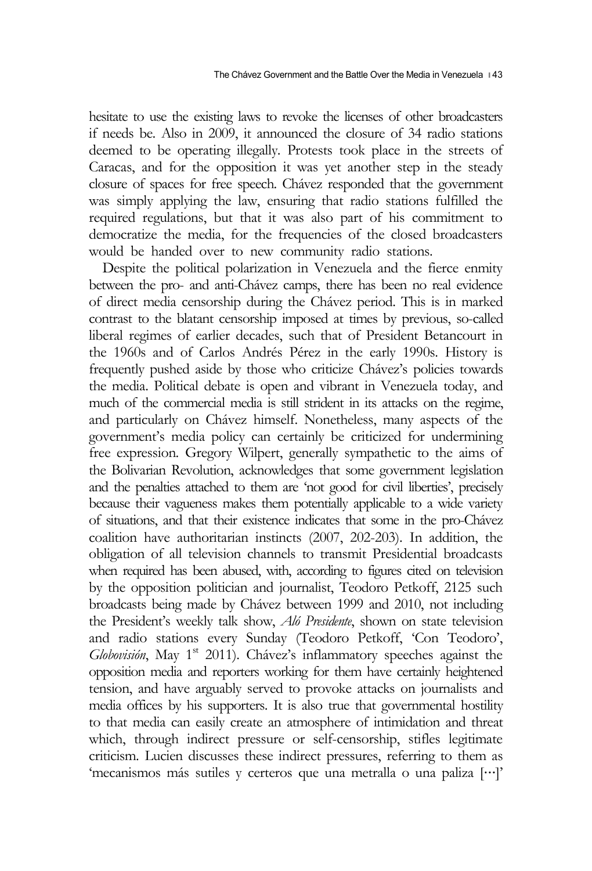hesitate to use the existing laws to revoke the licenses of other broadcasters if needs be. Also in 2009, it announced the closure of 34 radio stations deemed to be operating illegally. Protests took place in the streets of Caracas, and for the opposition it was yet another step in the steady closure of spaces for free speech. Chávez responded that the government was simply applying the law, ensuring that radio stations fulfilled the required regulations, but that it was also part of his commitment to democratize the media, for the frequencies of the closed broadcasters would be handed over to new community radio stations.

Despite the political polarization in Venezuela and the fierce enmity between the pro- and anti-Chávez camps, there has been no real evidence of direct media censorship during the Chávez period. This is in marked contrast to the blatant censorship imposed at times by previous, so-called liberal regimes of earlier decades, such that of President Betancourt in the 1960s and of Carlos Andrés Pérez in the early 1990s. History is frequently pushed aside by those who criticize Chávez's policies towards the media. Political debate is open and vibrant in Venezuela today, and much of the commercial media is still strident in its attacks on the regime, and particularly on Chávez himself. Nonetheless, many aspects of the government's media policy can certainly be criticized for undermining free expression. Gregory Wilpert, generally sympathetic to the aims of the Bolivarian Revolution, acknowledges that some government legislation and the penalties attached to them are 'not good for civil liberties', precisely because their vagueness makes them potentially applicable to a wide variety of situations, and that their existence indicates that some in the pro-Chávez coalition have authoritarian instincts (2007, 202-203). In addition, the obligation of all television channels to transmit Presidential broadcasts when required has been abused, with, according to figures cited on television by the opposition politician and journalist, Teodoro Petkoff, 2125 such broadcasts being made by Chávez between 1999 and 2010, not including the President's weekly talk show, *Aló Presidente*, shown on state television and radio stations every Sunday (Teodoro Petkoff, 'Con Teodoro', Globovisión, May 1<sup>st</sup> 2011). Chávez's inflammatory speeches against the opposition media and reporters working for them have certainly heightened tension, and have arguably served to provoke attacks on journalists and media offices by his supporters. It is also true that governmental hostility to that media can easily create an atmosphere of intimidation and threat which, through indirect pressure or self-censorship, stifles legitimate criticism. Lucien discusses these indirect pressures, referring to them as 'mecanismos más sutiles y certeros que una metralla o una paliza […]'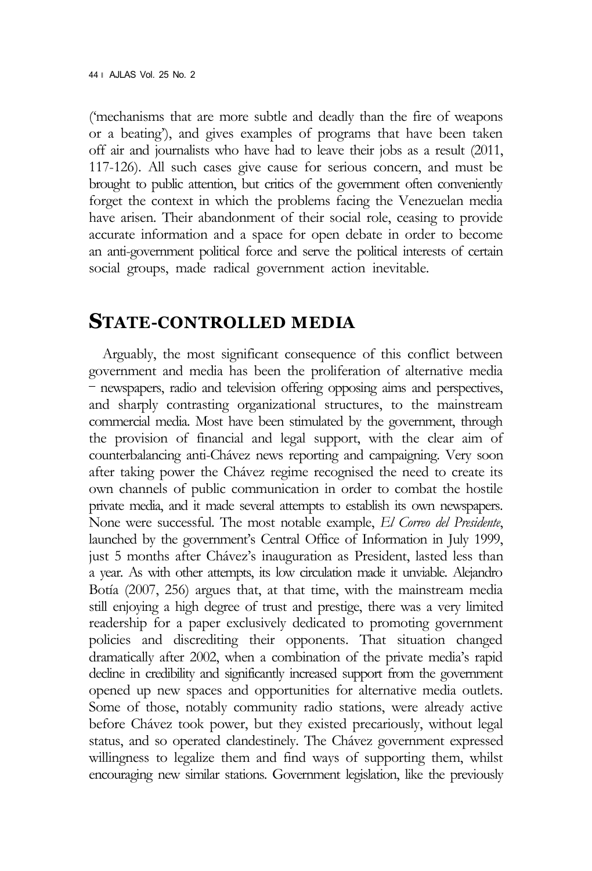('mechanisms that are more subtle and deadly than the fire of weapons or a beating'), and gives examples of programs that have been taken off air and journalists who have had to leave their jobs as a result (2011, 117-126). All such cases give cause for serious concern, and must be brought to public attention, but critics of the government often conveniently forget the context in which the problems facing the Venezuelan media have arisen. Their abandonment of their social role, ceasing to provide accurate information and a space for open debate in order to become an anti-government political force and serve the political interests of certain social groups, made radical government action inevitable.

#### **STATE-CONTROLLED MEDIA**

Arguably, the most significant consequence of this conflict between government and media has been the proliferation of alternative media - newspapers, radio and television offering opposing aims and perspectives, and sharply contrasting organizational structures, to the mainstream commercial media. Most have been stimulated by the government, through the provision of financial and legal support, with the clear aim of counterbalancing anti-Chávez news reporting and campaigning. Very soon after taking power the Chávez regime recognised the need to create its own channels of public communication in order to combat the hostile private media, and it made several attempts to establish its own newspapers. None were successful. The most notable example, *El Correo del Presidente*, launched by the government's Central Office of Information in July 1999, just 5 months after Chávez's inauguration as President, lasted less than a year. As with other attempts, its low circulation made it unviable. Alejandro Botía (2007, 256) argues that, at that time, with the mainstream media still enjoying a high degree of trust and prestige, there was a very limited readership for a paper exclusively dedicated to promoting government policies and discrediting their opponents. That situation changed dramatically after 2002, when a combination of the private media's rapid decline in credibility and significantly increased support from the government opened up new spaces and opportunities for alternative media outlets. Some of those, notably community radio stations, were already active before Chávez took power, but they existed precariously, without legal status, and so operated clandestinely. The Chávez government expressed willingness to legalize them and find ways of supporting them, whilst encouraging new similar stations. Government legislation, like the previously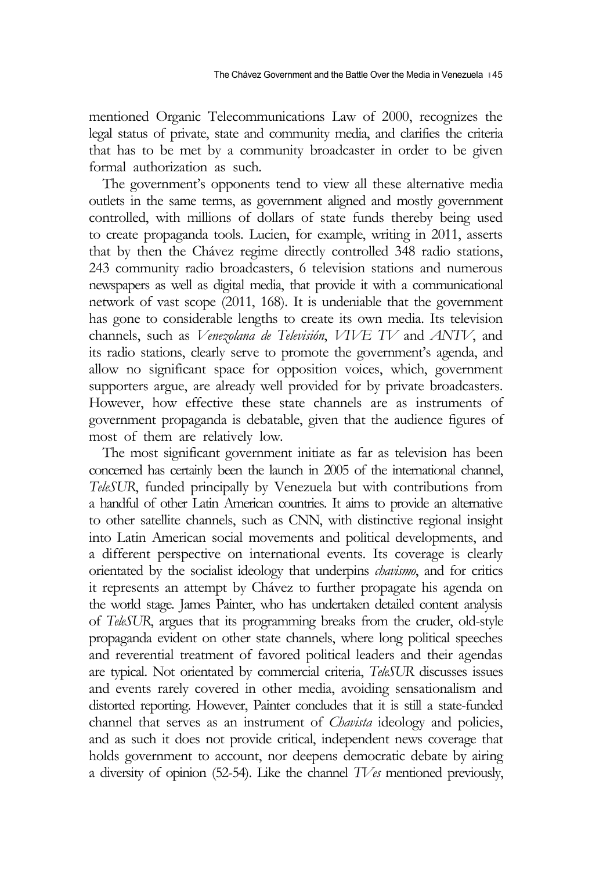mentioned Organic Telecommunications Law of 2000, recognizes the legal status of private, state and community media, and clarifies the criteria that has to be met by a community broadcaster in order to be given formal authorization as such.

The government's opponents tend to view all these alternative media outlets in the same terms, as government aligned and mostly government controlled, with millions of dollars of state funds thereby being used to create propaganda tools. Lucien, for example, writing in 2011, asserts that by then the Chávez regime directly controlled 348 radio stations, 243 community radio broadcasters, 6 television stations and numerous newspapers as well as digital media, that provide it with a communicational network of vast scope (2011, 168). It is undeniable that the government has gone to considerable lengths to create its own media. Its television channels, such as *Venezolana de Televisión*, *VIVE TV* and *ANTV*, and its radio stations, clearly serve to promote the government's agenda, and allow no significant space for opposition voices, which, government supporters argue, are already well provided for by private broadcasters. However, how effective these state channels are as instruments of government propaganda is debatable, given that the audience figures of most of them are relatively low.

The most significant government initiate as far as television has been concerned has certainly been the launch in 2005 of the international channel, *TeleSUR*, funded principally by Venezuela but with contributions from a handful of other Latin American countries. It aims to provide an alternative to other satellite channels, such as CNN, with distinctive regional insight into Latin American social movements and political developments, and a different perspective on international events. Its coverage is clearly orientated by the socialist ideology that underpins *chavismo*, and for critics it represents an attempt by Chávez to further propagate his agenda on the world stage. James Painter, who has undertaken detailed content analysis of *TeleSUR*, argues that its programming breaks from the cruder, old-style propaganda evident on other state channels, where long political speeches and reverential treatment of favored political leaders and their agendas are typical. Not orientated by commercial criteria, *TeleSUR* discusses issues and events rarely covered in other media, avoiding sensationalism and distorted reporting. However, Painter concludes that it is still a state-funded channel that serves as an instrument of *Chavista* ideology and policies, and as such it does not provide critical, independent news coverage that holds government to account, nor deepens democratic debate by airing a diversity of opinion (52-54). Like the channel *TVes* mentioned previously,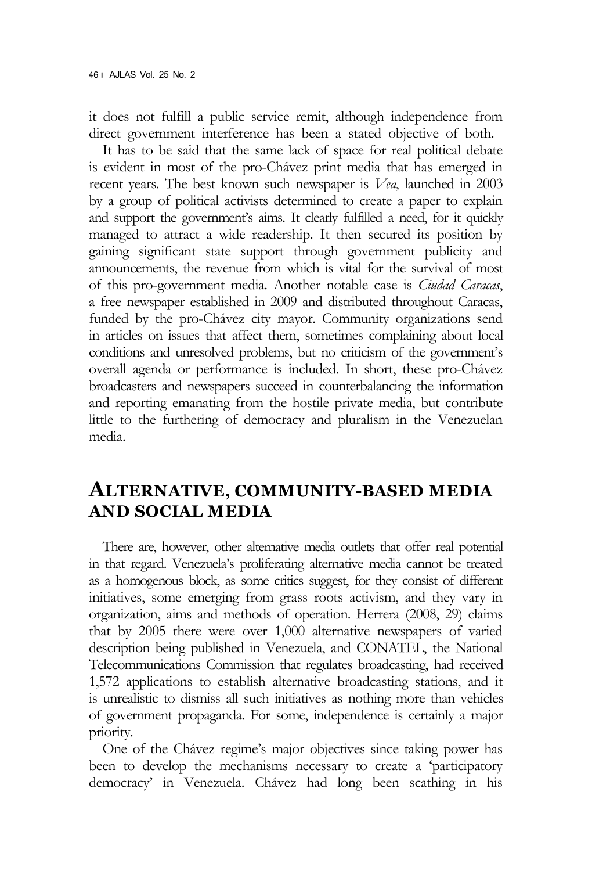it does not fulfill a public service remit, although independence from direct government interference has been a stated objective of both.

It has to be said that the same lack of space for real political debate is evident in most of the pro-Chávez print media that has emerged in recent years. The best known such newspaper is *Vea*, launched in 2003 by a group of political activists determined to create a paper to explain and support the government's aims. It clearly fulfilled a need, for it quickly managed to attract a wide readership. It then secured its position by gaining significant state support through government publicity and announcements, the revenue from which is vital for the survival of most of this pro-government media. Another notable case is *Ciudad Caracas*, a free newspaper established in 2009 and distributed throughout Caracas, funded by the pro-Chávez city mayor. Community organizations send in articles on issues that affect them, sometimes complaining about local conditions and unresolved problems, but no criticism of the government's overall agenda or performance is included. In short, these pro-Chávez broadcasters and newspapers succeed in counterbalancing the information and reporting emanating from the hostile private media, but contribute little to the furthering of democracy and pluralism in the Venezuelan media.

#### **ALTERNATIVE, COMMUNITY-BASED MEDIA AND SOCIAL MEDIA**

There are, however, other alternative media outlets that offer real potential in that regard. Venezuela's proliferating alternative media cannot be treated as a homogenous block, as some critics suggest, for they consist of different initiatives, some emerging from grass roots activism, and they vary in organization, aims and methods of operation. Herrera (2008, 29) claims that by 2005 there were over 1,000 alternative newspapers of varied description being published in Venezuela, and CONATEL, the National Telecommunications Commission that regulates broadcasting, had received 1,572 applications to establish alternative broadcasting stations, and it is unrealistic to dismiss all such initiatives as nothing more than vehicles of government propaganda. For some, independence is certainly a major priority.

One of the Chávez regime's major objectives since taking power has been to develop the mechanisms necessary to create a 'participatory democracy' in Venezuela. Chávez had long been scathing in his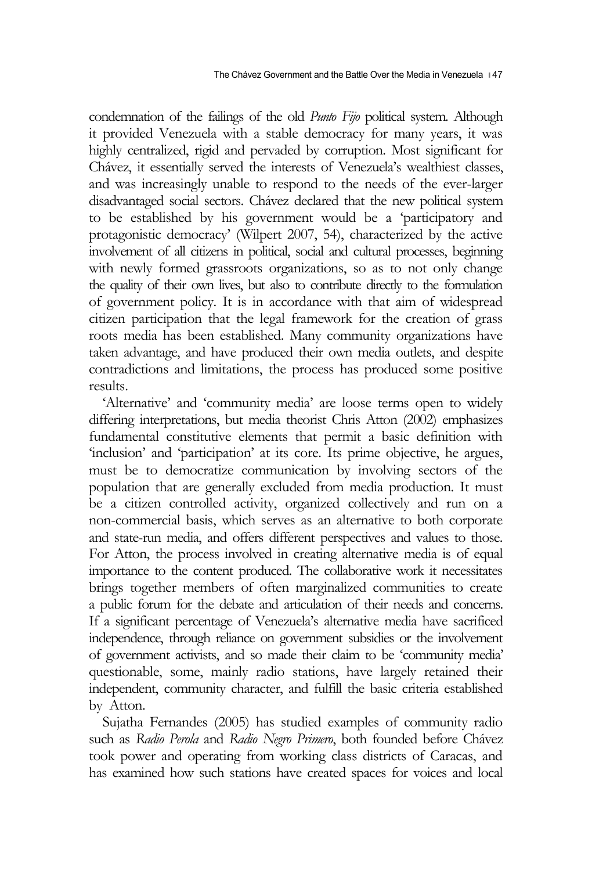condemnation of the failings of the old *Punto Fijo* political system. Although it provided Venezuela with a stable democracy for many years, it was highly centralized, rigid and pervaded by corruption. Most significant for Chávez, it essentially served the interests of Venezuela's wealthiest classes, and was increasingly unable to respond to the needs of the ever-larger disadvantaged social sectors. Chávez declared that the new political system to be established by his government would be a 'participatory and protagonistic democracy' (Wilpert 2007, 54), characterized by the active involvement of all citizens in political, social and cultural processes, beginning with newly formed grassroots organizations, so as to not only change the quality of their own lives, but also to contribute directly to the formulation of government policy. It is in accordance with that aim of widespread citizen participation that the legal framework for the creation of grass roots media has been established. Many community organizations have taken advantage, and have produced their own media outlets, and despite contradictions and limitations, the process has produced some positive results.

'Alternative' and 'community media' are loose terms open to widely differing interpretations, but media theorist Chris Atton (2002) emphasizes fundamental constitutive elements that permit a basic definition with 'inclusion' and 'participation' at its core. Its prime objective, he argues, must be to democratize communication by involving sectors of the population that are generally excluded from media production. It must be a citizen controlled activity, organized collectively and run on a non-commercial basis, which serves as an alternative to both corporate and state-run media, and offers different perspectives and values to those. For Atton, the process involved in creating alternative media is of equal importance to the content produced. The collaborative work it necessitates brings together members of often marginalized communities to create a public forum for the debate and articulation of their needs and concerns. If a significant percentage of Venezuela's alternative media have sacrificed independence, through reliance on government subsidies or the involvement of government activists, and so made their claim to be 'community media' questionable, some, mainly radio stations, have largely retained their independent, community character, and fulfill the basic criteria established by Atton.

Sujatha Fernandes (2005) has studied examples of community radio such as *Radio Perola* and *Radio Negro Primero*, both founded before Chávez took power and operating from working class districts of Caracas, and has examined how such stations have created spaces for voices and local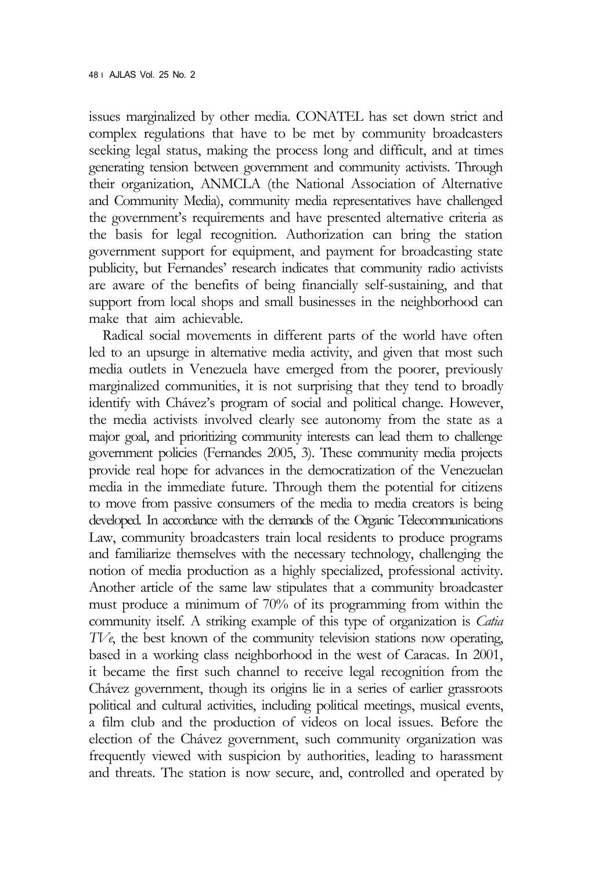issues marginalized by other media. CONATEL has set down strict and complex regulations that have to be met by community broadcasters seeking legal status, making the process long and difficult, and at times generating tension between government and community activists. Through their organization, ANMCLA (the National Association of Alternative and Community Media), community media representatives have challenged the government's requirements and have presented alternative criteria as the basis for legal recognition. Authorization can bring the station government support for equipment, and payment for broadcasting state publicity, but Fernandes' research indicates that community radio activists are aware of the benefits of being financially self-sustaining, and that support from local shops and small businesses in the neighborhood can make that aim achievable.

Radical social movements in different parts of the world have often led to an upsurge in alternative media activity, and given that most such media outlets in Venezuela have emerged from the poorer, previously marginalized communities, it is not surprising that they tend to broadly identify with Chávez's program of social and political change. However, the media activists involved clearly see autonomy from the state as a major goal, and prioritizing community interests can lead them to challenge government policies (Fernandes 2005, 3). These community media projects provide real hope for advances in the democratization of the Venezuelan media in the immediate future. Through them the potential for citizens to move from passive consumers of the media to media creators is being developed. In accordance with the demands of the Organic Telecommunications Law, community broadcasters train local residents to produce programs and familiarize themselves with the necessary technology, challenging the notion of media production as a highly specialized, professional activity. Another article of the same law stipulates that a community broadcaster must produce a minimum of 70% of its programming from within the community itself. A striking example of this type of organization is *Catia TVe*, the best known of the community television stations now operating, based in a working class neighborhood in the west of Caracas. In 2001, it became the first such channel to receive legal recognition from the Chávez government, though its origins lie in a series of earlier grassroots political and cultural activities, including political meetings, musical events, a film club and the production of videos on local issues. Before the election of the Chávez government, such community organization was frequently viewed with suspicion by authorities, leading to harassment and threats. The station is now secure, and, controlled and operated by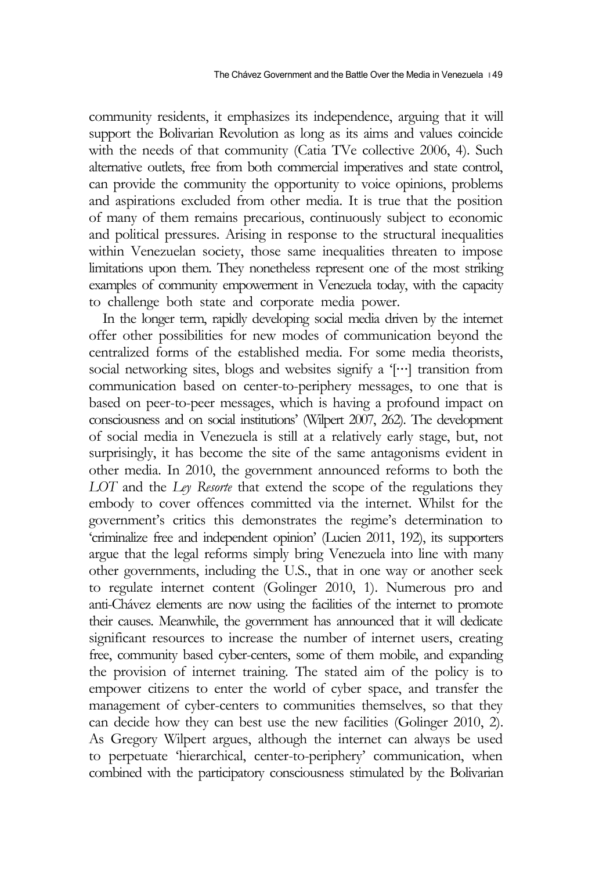community residents, it emphasizes its independence, arguing that it will support the Bolivarian Revolution as long as its aims and values coincide with the needs of that community (Catia TVe collective 2006, 4). Such alternative outlets, free from both commercial imperatives and state control, can provide the community the opportunity to voice opinions, problems and aspirations excluded from other media. It is true that the position of many of them remains precarious, continuously subject to economic and political pressures. Arising in response to the structural inequalities within Venezuelan society, those same inequalities threaten to impose limitations upon them. They nonetheless represent one of the most striking examples of community empowerment in Venezuela today, with the capacity to challenge both state and corporate media power.

In the longer term, rapidly developing social media driven by the internet offer other possibilities for new modes of communication beyond the centralized forms of the established media. For some media theorists, social networking sites, blogs and websites signify a '[…] transition from communication based on center-to-periphery messages, to one that is based on peer-to-peer messages, which is having a profound impact on consciousness and on social institutions' (Wilpert 2007, 262). The development of social media in Venezuela is still at a relatively early stage, but, not surprisingly, it has become the site of the same antagonisms evident in other media. In 2010, the government announced reforms to both the *LOT* and the *Ley Resorte* that extend the scope of the regulations they embody to cover offences committed via the internet. Whilst for the government's critics this demonstrates the regime's determination to 'criminalize free and independent opinion' (Lucien 2011, 192), its supporters argue that the legal reforms simply bring Venezuela into line with many other governments, including the U.S., that in one way or another seek to regulate internet content (Golinger 2010, 1). Numerous pro and anti-Chávez elements are now using the facilities of the internet to promote their causes. Meanwhile, the government has announced that it will dedicate significant resources to increase the number of internet users, creating free, community based cyber-centers, some of them mobile, and expanding the provision of internet training. The stated aim of the policy is to empower citizens to enter the world of cyber space, and transfer the management of cyber-centers to communities themselves, so that they can decide how they can best use the new facilities (Golinger 2010, 2). As Gregory Wilpert argues, although the internet can always be used to perpetuate 'hierarchical, center-to-periphery' communication, when combined with the participatory consciousness stimulated by the Bolivarian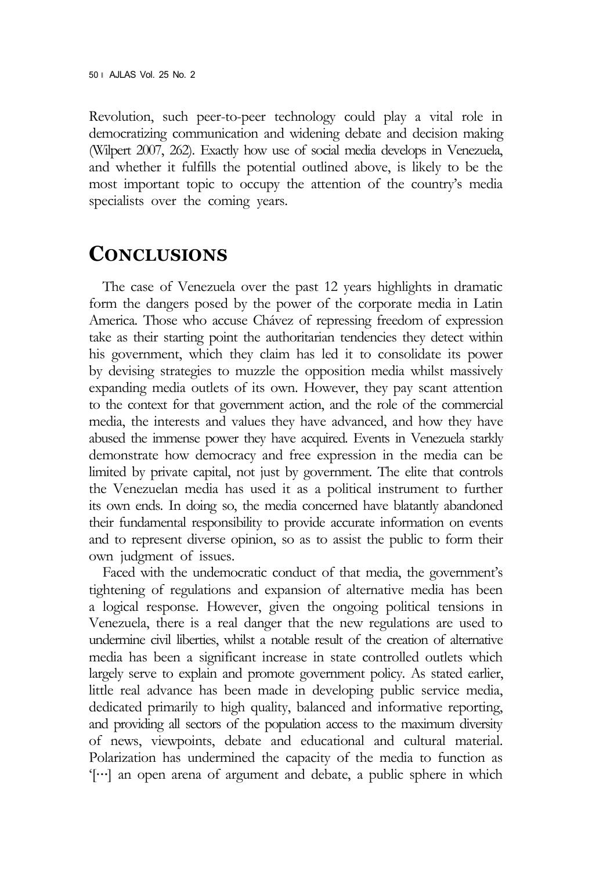Revolution, such peer-to-peer technology could play a vital role in democratizing communication and widening debate and decision making (Wilpert 2007, 262). Exactly how use of social media develops in Venezuela, and whether it fulfills the potential outlined above, is likely to be the most important topic to occupy the attention of the country's media specialists over the coming years.

## **CONCLUSIONS**

The case of Venezuela over the past 12 years highlights in dramatic form the dangers posed by the power of the corporate media in Latin America. Those who accuse Chávez of repressing freedom of expression take as their starting point the authoritarian tendencies they detect within his government, which they claim has led it to consolidate its power by devising strategies to muzzle the opposition media whilst massively expanding media outlets of its own. However, they pay scant attention to the context for that government action, and the role of the commercial media, the interests and values they have advanced, and how they have abused the immense power they have acquired. Events in Venezuela starkly demonstrate how democracy and free expression in the media can be limited by private capital, not just by government. The elite that controls the Venezuelan media has used it as a political instrument to further its own ends. In doing so, the media concerned have blatantly abandoned their fundamental responsibility to provide accurate information on events and to represent diverse opinion, so as to assist the public to form their own judgment of issues.

Faced with the undemocratic conduct of that media, the government's tightening of regulations and expansion of alternative media has been a logical response. However, given the ongoing political tensions in Venezuela, there is a real danger that the new regulations are used to undermine civil liberties, whilst a notable result of the creation of alternative media has been a significant increase in state controlled outlets which largely serve to explain and promote government policy. As stated earlier, little real advance has been made in developing public service media, dedicated primarily to high quality, balanced and informative reporting, and providing all sectors of the population access to the maximum diversity of news, viewpoints, debate and educational and cultural material. Polarization has undermined the capacity of the media to function as '[…] an open arena of argument and debate, a public sphere in which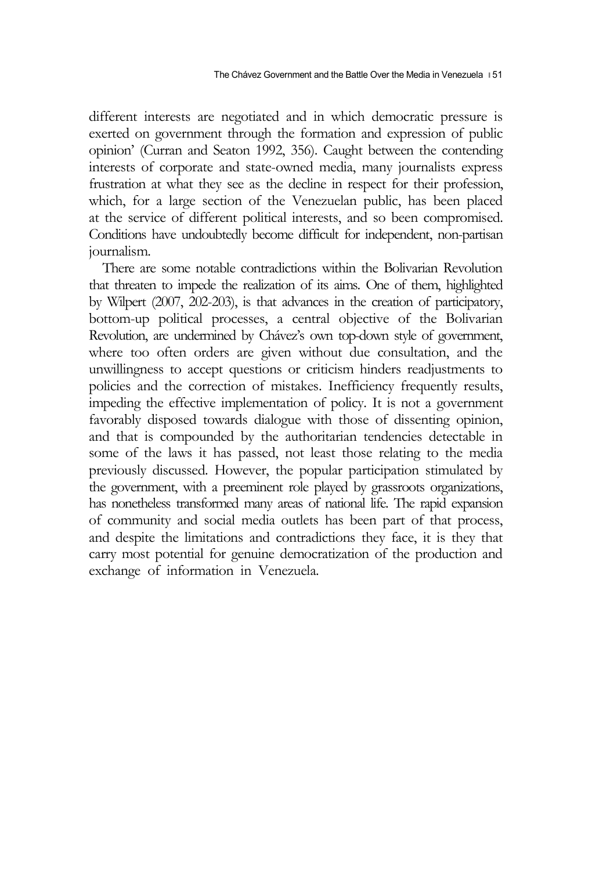different interests are negotiated and in which democratic pressure is exerted on government through the formation and expression of public opinion' (Curran and Seaton 1992, 356). Caught between the contending interests of corporate and state-owned media, many journalists express frustration at what they see as the decline in respect for their profession, which, for a large section of the Venezuelan public, has been placed at the service of different political interests, and so been compromised. Conditions have undoubtedly become difficult for independent, non-partisan journalism.

There are some notable contradictions within the Bolivarian Revolution that threaten to impede the realization of its aims. One of them, highlighted by Wilpert (2007, 202-203), is that advances in the creation of participatory, bottom-up political processes, a central objective of the Bolivarian Revolution, are undermined by Chávez's own top-down style of government, where too often orders are given without due consultation, and the unwillingness to accept questions or criticism hinders readjustments to policies and the correction of mistakes. Inefficiency frequently results, impeding the effective implementation of policy. It is not a government favorably disposed towards dialogue with those of dissenting opinion, and that is compounded by the authoritarian tendencies detectable in some of the laws it has passed, not least those relating to the media previously discussed. However, the popular participation stimulated by the government, with a preeminent role played by grassroots organizations, has nonetheless transformed many areas of national life. The rapid expansion of community and social media outlets has been part of that process, and despite the limitations and contradictions they face, it is they that carry most potential for genuine democratization of the production and exchange of information in Venezuela.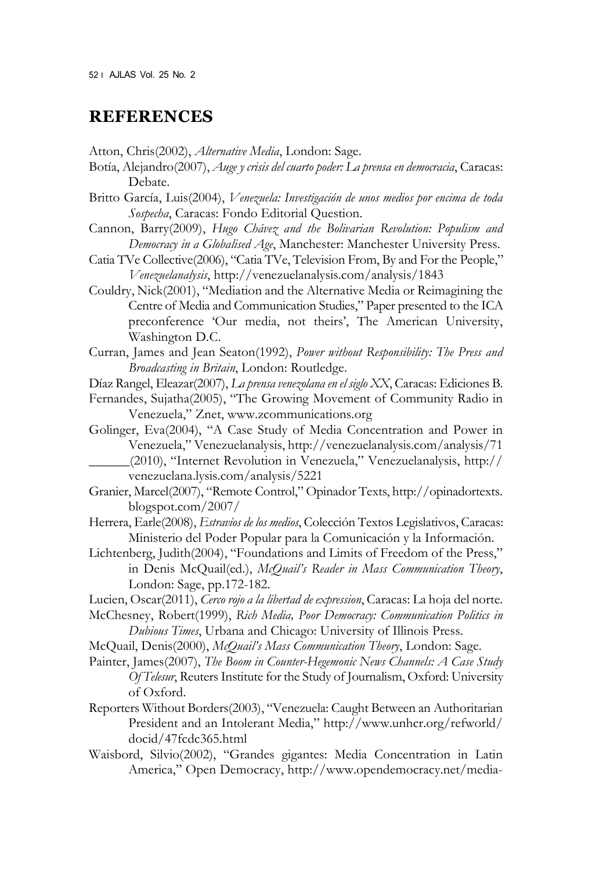#### **REFERENCES**

Atton, Chris(2002), *Alternative Media*, London: Sage.

- Botía, Alejandro(2007), *Auge y crisis del cuarto poder: La prensa en democracia*, Caracas: Debate.
- Britto García, Luis(2004), *Venezuela: Investigación de unos medios por encima de toda Sospecha*, Caracas: Fondo Editorial Question.
- Cannon, Barry(2009), *Hugo Chávez and the Bolivarian Revolution: Populism and Democracy in a Globalised Age*, Manchester: Manchester University Press.
- Catia TVe Collective(2006), "Catia TVe, Television From, By and For the People," *Venezuelanalysis*, http://venezuelanalysis.com/analysis/1843
- Couldry, Nick(2001), "Mediation and the Alternative Media or Reimagining the Centre of Media and Communication Studies," Paper presented to the ICA preconference 'Our media, not theirs', The American University, Washington D.C.
- Curran, James and Jean Seaton(1992), *Power without Responsibility: The Press and Broadcasting in Britain*, London: Routledge.

Díaz Rangel, Eleazar(2007), *La prensa venezolana en el siglo XX*, Caracas: Ediciones B.

- Fernandes, Sujatha(2005), "The Growing Movement of Community Radio in Venezuela," Znet, www.zcommunications.org
- Golinger, Eva(2004), "A Case Study of Media Concentration and Power in Venezuela," Venezuelanalysis, http://venezuelanalysis.com/analysis/71 \_\_\_\_\_\_(2010), "Internet Revolution in Venezuela," Venezuelanalysis, http:// venezuelana.lysis.com/analysis/5221
- Granier, Marcel(2007), "Remote Control," Opinador Texts, http://opinadortexts. blogspot.com/2007/
- Herrera, Earle(2008), *Estravíos de los medios*, Colección Textos Legislativos, Caracas: Ministerio del Poder Popular para la Comunicación y la Información.
- Lichtenberg, Judith(2004), "Foundations and Limits of Freedom of the Press," in Denis McQuail(ed.), *McQuail's Reader in Mass Communication Theory*, London: Sage, pp.172-182.
- Lucien, Oscar(2011), *Cerco rojo a la libertad de expression*, Caracas: La hoja del norte.
- McChesney, Robert(1999), *Rich Media, Poor Democracy: Communication Politics in Dubious Times*, Urbana and Chicago: University of Illinois Press.
- McQuail, Denis(2000), *McQuail's Mass Communication Theory*, London: Sage.
- Painter, James(2007), *The Boom in Counter-Hegemonic News Channels: A Case Study Of Telesur*, Reuters Institute for the Study of Journalism, Oxford: University of Oxford.
- Reporters Without Borders(2003), "Venezuela: Caught Between an Authoritarian President and an Intolerant Media," http://www.unhcr.org/refworld/ docid/47fcdc365.html
- Waisbord, Silvio(2002), "Grandes gigantes: Media Concentration in Latin America," Open Democracy, http://www.opendemocracy.net/media-